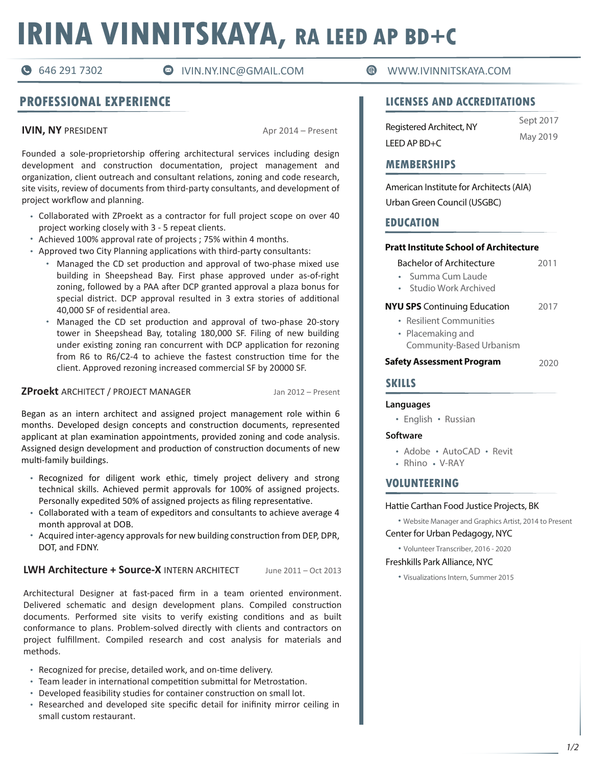# **IRINA VINNITSKAYA, RA LEED AP BD+C**

## **PROFESSIONAL EXPERIENCE**

**IVIN, NY** PRESIDENT Apr 2014 – Present

Founded a sole-proprietorship offering architectural services including design development and construction documentation, project management and organization, client outreach and consultant relations, zoning and code research, site visits, review of documents from third-party consultants, and development of project workflow and planning.

- Collaborated with ZProekt as a contractor for full project scope on over 40 project working closely with 3 - 5 repeat clients.
- Achieved 100% approval rate of projects ; 75% within 4 months.
- Approved two City Planning applications with third-party consultants:
	- Managed the CD set production and approval of two-phase mixed use building in Sheepshead Bay. First phase approved under as-of-right zoning, followed by a PAA after DCP granted approval a plaza bonus for special district. DCP approval resulted in 3 extra stories of additional 40,000 SF of residential area.
	- Managed the CD set production and approval of two-phase 20-story tower in Sheepshead Bay, totaling 180,000 SF. Filing of new building under existing zoning ran concurrent with DCP application for rezoning from R6 to R6/C2-4 to achieve the fastest construction time for the client. Approved rezoning increased commercial SF by 20000 SF.

#### **ZProekt** ARCHITECT / PROJECT MANAGER Jan 2012 – Present

Began as an intern architect and assigned project management role within 6 months. Developed design concepts and construction documents, represented applicant at plan examination appointments, provided zoning and code analysis. Assigned design development and production of construction documents of new multi-family buildings.

- Recognized for diligent work ethic, timely project delivery and strong technical skills. Achieved permit approvals for 100% of assigned projects. Personally expedited 50% of assigned projects as filing representative.
- Collaborated with a team of expeditors and consultants to achieve average 4 month approval at DOB.
- Acquired inter-agency approvals for new building construction from DEP, DPR, DOT, and FDNY.

#### **LWH Architecture + Source-X** INTERN ARCHITECT June 2011 – Oct 2013

Architectural Designer at fast-paced firm in a team oriented environment. Delivered schematic and design development plans. Compiled construction documents. Performed site visits to verify existing conditions and as built conformance to plans. Problem-solved directly with clients and contractors on project fulfillment. Compiled research and cost analysis for materials and methods.

- Recognized for precise, detailed work, and on-time delivery.
- Team leader in international competition submittal for Metrostation.
- Developed feasibility studies for container construction on small lot.
- Researched and developed site specific detail for inifinity mirror ceiling in small custom restaurant.

#### 646 291 7302 IVIN.NY.INC@GMAIL.COM WWW.IVINNITSKAYA.COM

#### **LICENSES AND ACCREDITATIONS**

| Registered Architect, NY<br>LEED AP BD+C | Sept 2017 |
|------------------------------------------|-----------|
|                                          | May 2019  |

#### **MEMBERSHIPS**

American Institute for Architects (AIA) Urban Green Council (USGBC)

### **EDUCATION**

#### **Pratt Institute School of Architecture**

**Pratt Institute School of Architecture** Bachelor of Architecture 2011

- Summa Cum Laude
- Studio Work Archived

#### 2017 **NYU SPS** Continuing Education

- Resilient Communities Placemaking and
- Community-Based Urbanism

#### **Safety Assessment Program** 2020

#### **SKILLS**

**Languages** English Russian

#### Software **Software**

- Adobe · AutoCAD · Revit
- Rhino V-RAY

#### **VOLUNTEERING**

#### Hattie Carthan Food Justice Projects, BK

Center for Urban Pedagogy, NYC Website Manager and Graphics Artist, 2014 to Present

Volunteer Transcriber, 2016 - 2020

#### Freshkills Park Alliance, NYC

Visualizations Intern, Summer 2015